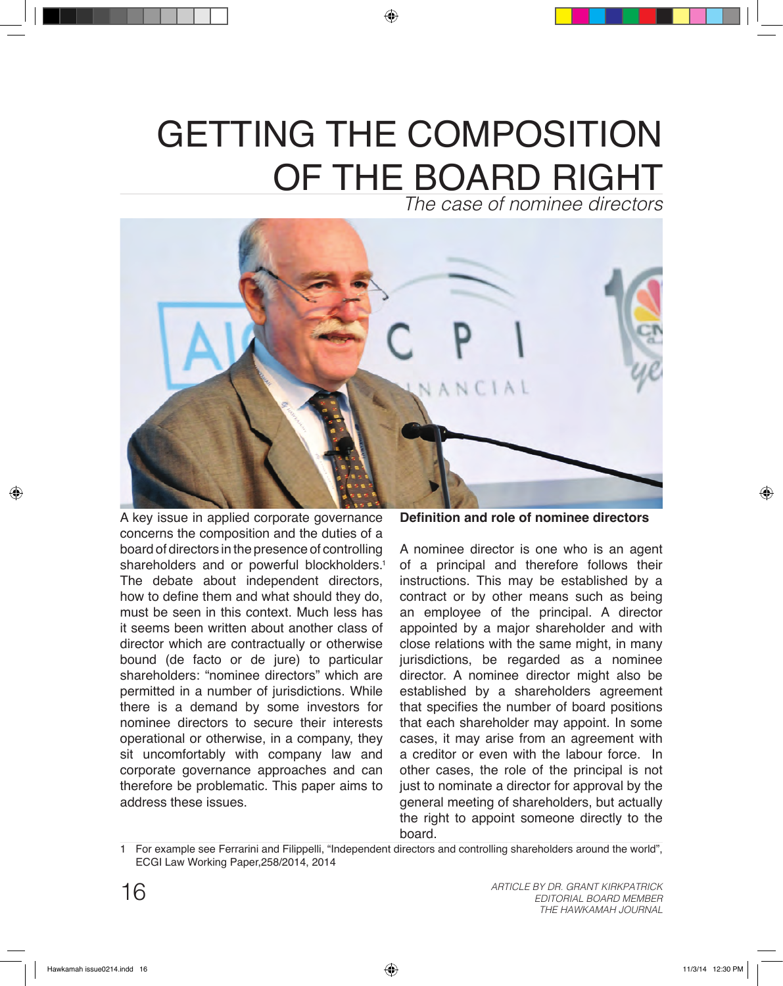## GETTING THE COMPOSITION OF THE BOARD RIGHT

*The case of nominee directors*



A key issue in applied corporate governance concerns the composition and the duties of a board of directors in the presence of controlling shareholders and or powerful blockholders.<sup>1</sup> The debate about independent directors, how to define them and what should they do, must be seen in this context. Much less has it seems been written about another class of director which are contractually or otherwise bound (de facto or de jure) to particular shareholders: "nominee directors" which are permitted in a number of jurisdictions. While there is a demand by some investors for nominee directors to secure their interests operational or otherwise, in a company, they sit uncomfortably with company law and corporate governance approaches and can therefore be problematic. This paper aims to address these issues.

**Definition and role of nominee directors**

A nominee director is one who is an agent of a principal and therefore follows their instructions. This may be established by a contract or by other means such as being an employee of the principal. A director appointed by a major shareholder and with close relations with the same might, in many jurisdictions, be regarded as a nominee director. A nominee director might also be established by a shareholders agreement that specifies the number of board positions that each shareholder may appoint. In some cases, it may arise from an agreement with a creditor or even with the labour force. In other cases, the role of the principal is not just to nominate a director for approval by the general meeting of shareholders, but actually the right to appoint someone directly to the board.

For example see Ferrarini and Filippelli, "Independent directors and controlling shareholders around the world", 1 ECGI Law Working Paper,258/2014, 2014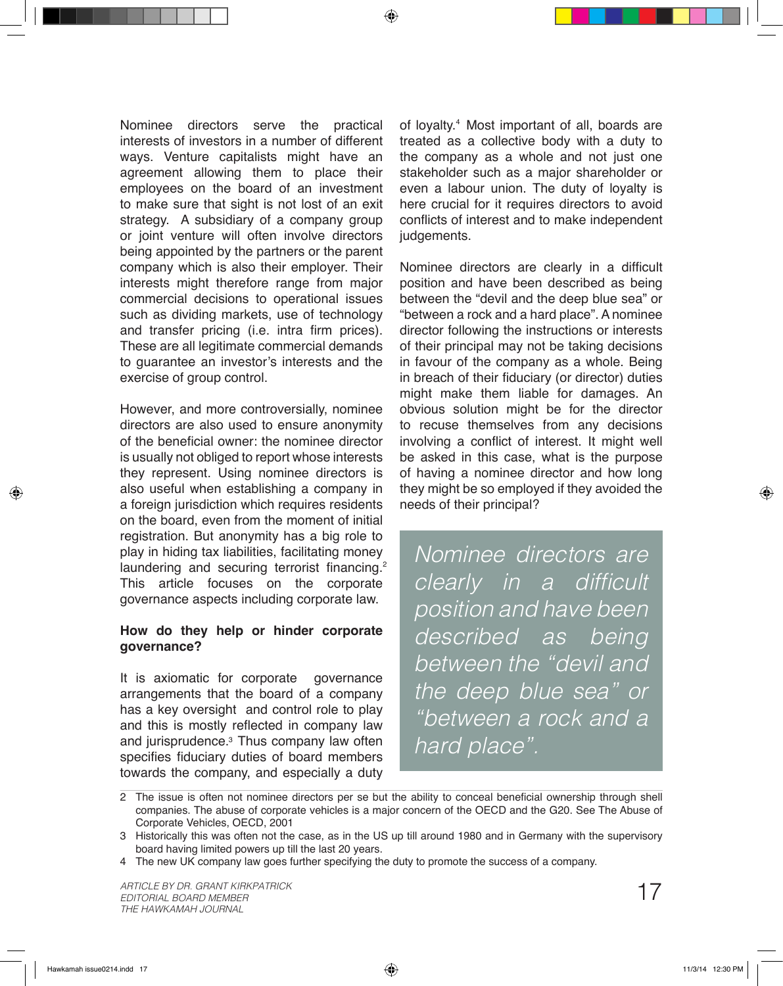Nominee directors serve the practical interests of investors in a number of different ways. Venture capitalists might have an agreement allowing them to place their employees on the board of an investment to make sure that sight is not lost of an exit strategy. A subsidiary of a company group or joint venture will often involve directors being appointed by the partners or the parent company which is also their employer. Their interests might therefore range from major commercial decisions to operational issues such as dividing markets, use of technology and transfer pricing (i.e. intra firm prices). These are all legitimate commercial demands to guarantee an investor's interests and the exercise of group control.

However, and more controversially, nominee directors are also used to ensure anonymity of the beneficial owner: the nominee director is usually not obliged to report whose interests they represent. Using nominee directors is also useful when establishing a company in a foreign jurisdiction which requires residents on the board, even from the moment of initial registration. But anonymity has a big role to play in hiding tax liabilities, facilitating money laundering and securing terrorist financing.<sup>2</sup> This article focuses on the corporate governance aspects including corporate law.

## **How do they help or hinder corporate governance?**

It is axiomatic for corporate governance arrangements that the board of a company has a key oversight and control role to play and this is mostly reflected in company law and jurisprudence.<sup>3</sup> Thus company law often specifies fiduciary duties of board members towards the company, and especially a duty

of loyalty.<sup>4</sup> Most important of all, boards are treated as a collective body with a duty to the company as a whole and not just one stakeholder such as a major shareholder or even a labour union. The duty of loyalty is here crucial for it requires directors to avoid conflicts of interest and to make independent judgements.

Nominee directors are clearly in a difficult position and have been described as being between the "devil and the deep blue sea" or "between a rock and a hard place". A nominee director following the instructions or interests of their principal may not be taking decisions in favour of the company as a whole. Being in breach of their fiduciary (or director) duties might make them liable for damages. An obvious solution might be for the director to recuse themselves from any decisions involving a conflict of interest. It might well be asked in this case, what is the purpose of having a nominee director and how long they might be so employed if they avoided the needs of their principal?

*Nominee directors are*  clearly in a difficult *position and have been described as being between the "devil and the deep blue sea" or "between a rock and a hard place".* 

The issue is often not nominee directors per se but the ability to conceal beneficial ownership through shell 2 companies. The abuse of corporate vehicles is a major concern of the OECD and the G20. See The Abuse of Corporate Vehicles, OECD, 2001

<sup>3</sup> Historically this was often not the case, as in the US up till around 1980 and in Germany with the supervisory board having limited powers up till the last 20 years.

The new UK company law goes further specifying the duty to promote the success of a company. 4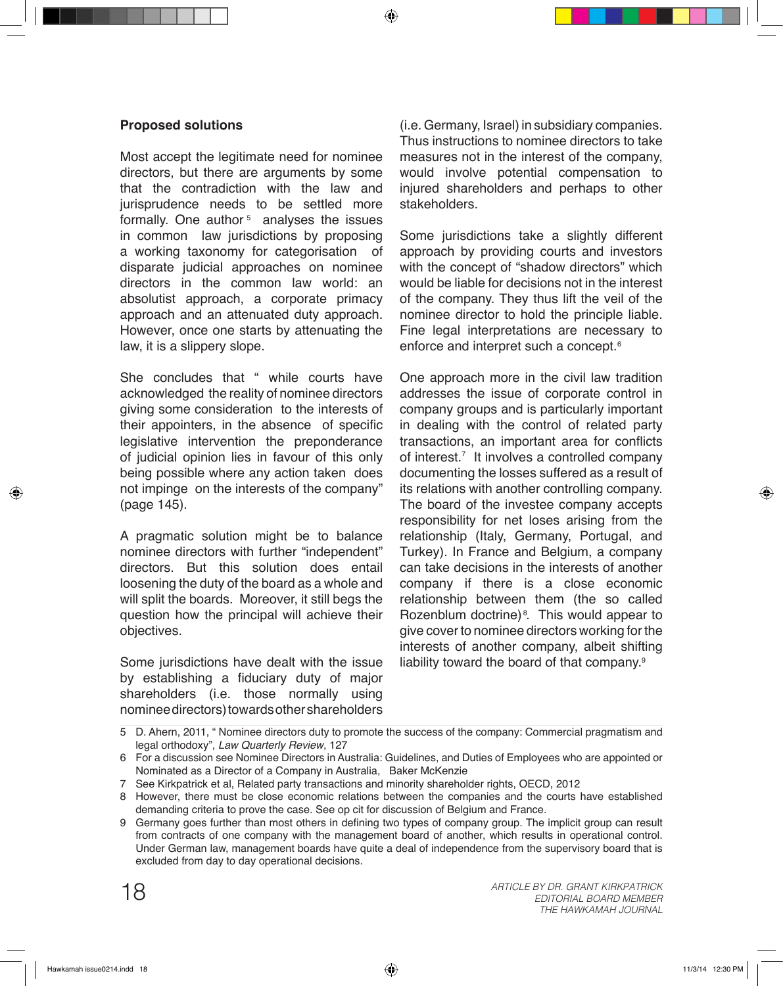## **Proposed solutions**

Most accept the legitimate need for nominee directors, but there are arguments by some that the contradiction with the law and jurisprudence needs to be settled more formally. One author <sup>5</sup> analyses the issues in common law jurisdictions by proposing a working taxonomy for categorisation of disparate judicial approaches on nominee directors in the common law world: an absolutist approach, a corporate primacy approach and an attenuated duty approach. However, once one starts by attenuating the law, it is a slippery slope.

She concludes that " while courts have acknowledged the reality of nominee directors giving some consideration to the interests of their appointers, in the absence of specific legislative intervention the preponderance of judicial opinion lies in favour of this only being possible where any action taken does not impinge on the interests of the company" (page 145).

A pragmatic solution might be to balance nominee directors with further "independent" directors. But this solution does entail loosening the duty of the board as a whole and will split the boards. Moreover, it still begs the question how the principal will achieve their objectives.

Some jurisdictions have dealt with the issue by establishing a fiduciary duty of major shareholders (i.e. those normally using nominee directors) towards other shareholders

(i.e. Germany, Israel) in subsidiary companies. Thus instructions to nominee directors to take measures not in the interest of the company, would involve potential compensation to injured shareholders and perhaps to other stakeholders.

Some jurisdictions take a slightly different approach by providing courts and investors with the concept of "shadow directors" which would be liable for decisions not in the interest of the company. They thus lift the veil of the nominee director to hold the principle liable. Fine legal interpretations are necessary to enforce and interpret such a concept. 6

One approach more in the civil law tradition addresses the issue of corporate control in company groups and is particularly important in dealing with the control of related party transactions, an important area for conflicts of interest.<sup>7</sup> It involves a controlled company documenting the losses suffered as a result of its relations with another controlling company. The board of the investee company accepts responsibility for net loses arising from the relationship (Italy, Germany, Portugal, and Turkey). In France and Belgium, a company can take decisions in the interests of another company if there is a close economic relationship between them (the so called Rozenblum doctrine)<sup>8</sup>. This would appear to give cover to nominee directors working for the interests of another company, albeit shifting liability toward the board of that company.<sup>9</sup>

<sup>5</sup> D. Ahern, 2011, " Nominee directors duty to promote the success of the company: Commercial pragmatism and legal orthodoxy", *Law Quarterly Review*, 127

For a discussion see Nominee Directors in Australia: Guidelines, and Duties of Employees who are appointed or 6 Nominated as a Director of a Company in Australia, Baker McKenzie

<sup>7</sup> See Kirkpatrick et al, Related party transactions and minority shareholder rights, OECD, 2012

<sup>8</sup> However, there must be close economic relations between the companies and the courts have established demanding criteria to prove the case. See op cit for discussion of Belgium and France.

Germany goes further than most others in defining two types of company group. The implicit group can result 9 from contracts of one company with the management board of another, which results in operational control. Under German law, management boards have quite a deal of independence from the supervisory board that is excluded from day to day operational decisions.